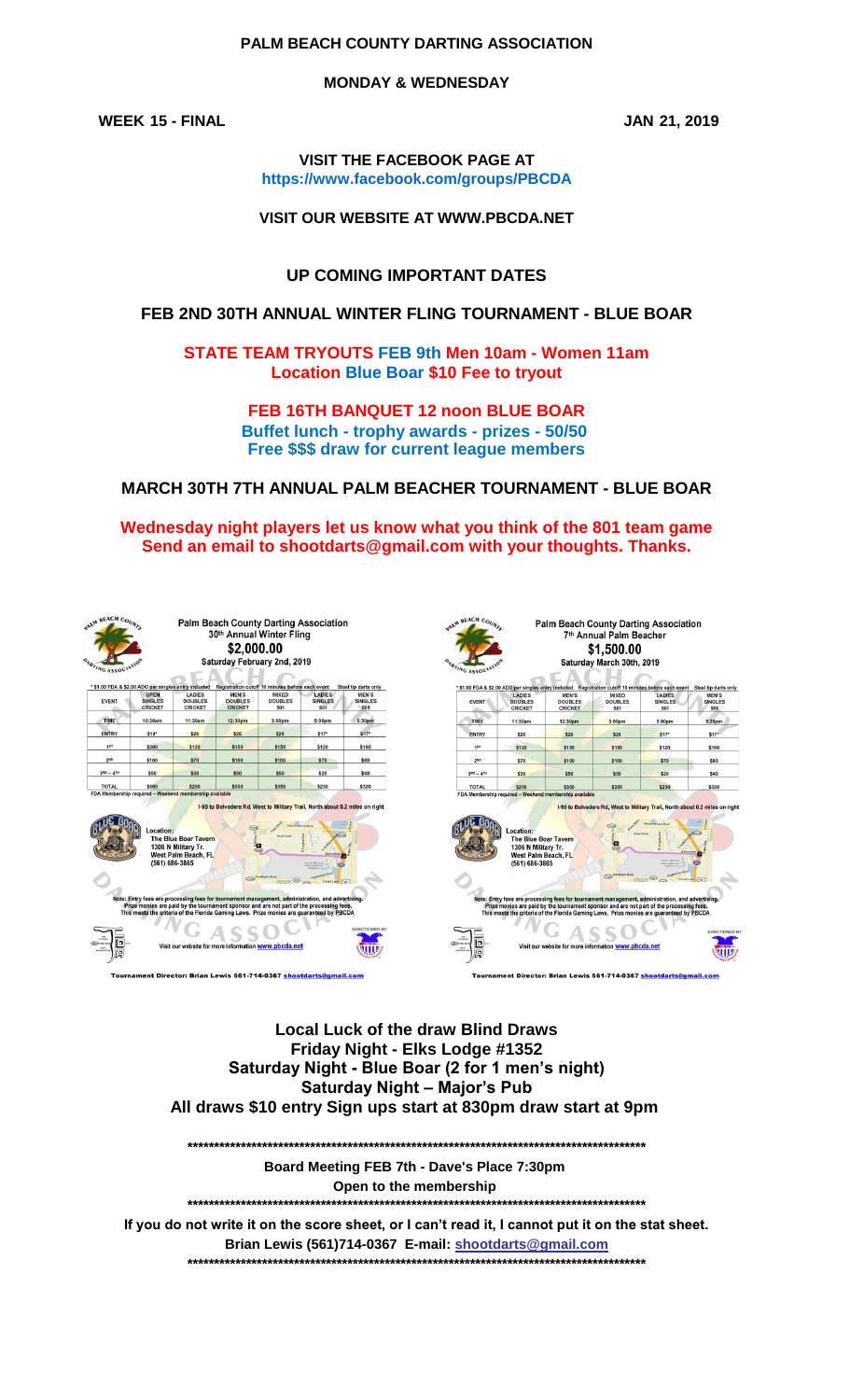## PALM BEACH COUNTY DARTING ASSOCIATION

**MONDAY & WEDNESDAY** 

**WEEK 15 - FINAL** 

JAN 21, 2019

**VISIT THE FACEBOOK PAGE AT** https://www.facebook.com/groups/PBCDA

**VISIT OUR WEBSITE AT WWW.PBCDA.NET** 

**UP COMING IMPORTANT DATES** 

## FEB 2ND 30TH ANNUAL WINTER FLING TOURNAMENT - BLUE BOAR

**STATE TEAM TRYOUTS FEB 9th Men 10am - Women 11am Location Blue Boar \$10 Fee to tryout** 

> FEB 16TH BANQUET 12 noon BLUE BOAR Buffet lunch - trophy awards - prizes - 50/50 Free \$\$\$ draw for current league members

**MARCH 30TH 7TH ANNUAL PALM BEACHER TOURNAMENT - BLUE BOAR** 

Wednesday night players let us know what you think of the 801 team game Send an email to shootdarts@gmail.com with your thoughts. Thanks.

|  |  | PALM BEACH COUNTY          |
|--|--|----------------------------|
|  |  |                            |
|  |  |                            |
|  |  | <b>ONATING ASSOCIATION</b> |

Palm Beach County Darting Association<br>30<sup>th</sup> Annual Winter Fling \$2,000.00 Saturday February 2nd, 2019

| <b>EVENT</b>      | <b>OPEN</b><br>SINGLES<br><b>CRICKET</b> | LADIES<br><b>DOUBLES</b><br><b>CRICKET</b> | MEN'S<br><b>DOUBLES</b><br><b>CRICKET</b> | <b>MIXED</b><br><b>DOUBLES</b><br>501 | LADIES<br><b>SINGLES</b><br>501 | <b>MEN'S</b><br><b>SINGLES</b><br>501 |
|-------------------|------------------------------------------|--------------------------------------------|-------------------------------------------|---------------------------------------|---------------------------------|---------------------------------------|
| TIME              | 10:30am                                  | 11:30am                                    | 12:30pm                                   | 3:00pm                                | 5:00pm                          | 5:30pm                                |
| <b>ENTRY</b>      | \$18*                                    | \$26                                       | \$26                                      | \$26                                  | \$17"                           | \$17 <sup>o</sup>                     |
| 18T               | \$300                                    | \$120                                      | \$150                                     | \$150                                 | \$120                           | \$160                                 |
| 2 <sub>NO</sub>   | \$100                                    | \$70                                       | \$100                                     | \$100                                 | \$70                            | \$80                                  |
| $3^{RD} - 4^{TH}$ | \$50                                     | \$30                                       | \$50                                      | \$50                                  | \$20                            | \$40                                  |
| <b>TOTAL</b>      | \$500                                    | \$250                                      | \$350                                     | \$350                                 | \$230                           | \$320                                 |





**Local Luck of the draw Blind Draws** Friday Night - Elks Lodge #1352 Saturday Night - Blue Boar (2 for 1 men's night) **Saturday Night - Major's Pub** All draws \$10 entry Sign ups start at 830pm draw start at 9pm

Board Meeting FEB 7th - Dave's Place 7:30pm Open to the membership 

If you do not write it on the score sheet, or I can't read it, I cannot put it on the stat sheet. Brian Lewis (561)714-0367 E-mail: shootdarts@gmail.com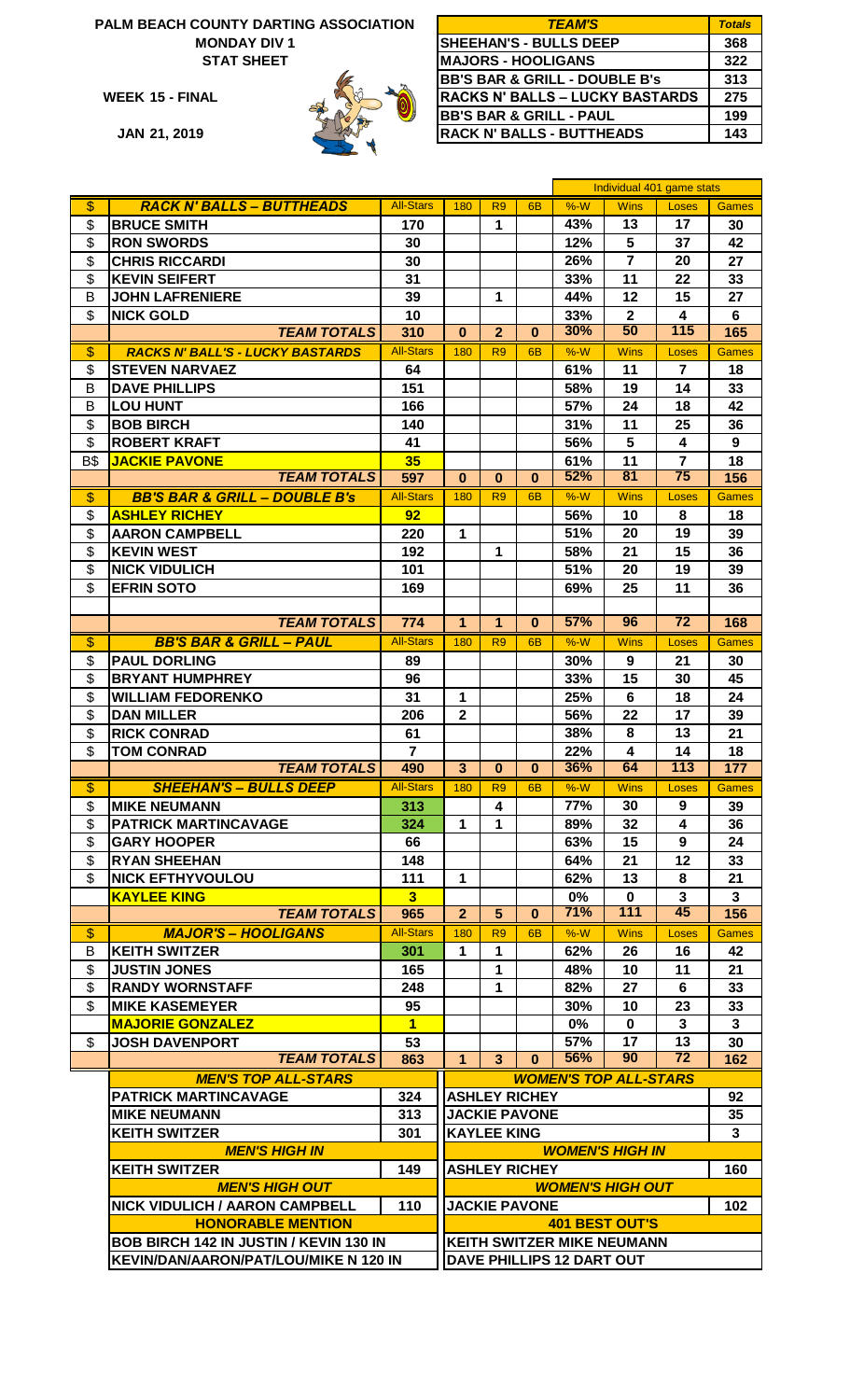### **PALM BEACH COUNTY DARTING ASSOCIATION MONDAY DIV 1**



| ALM BEACH COUNTY DARTING ASSOCIATION | <b>TEAM'S</b>                            | <b>Totals</b> |
|--------------------------------------|------------------------------------------|---------------|
| <b>MONDAY DIV1</b>                   | <b>SHEEHAN'S - BULLS DEEP</b>            | 368           |
| <b>STAT SHEET</b>                    | <b>MAJORS - HOOLIGANS</b>                | 322           |
|                                      | <b>BB'S BAR &amp; GRILL - DOUBLE B's</b> | 313           |
| WEEK 15 - FINAL                      | <b>RACKS N' BALLS - LUCKY BASTARDS</b>   | 275           |
|                                      | <b>BB'S BAR &amp; GRILL - PAUL</b>       | 199           |
| <b>JAN 21, 2019</b>                  | <b>RACK N' BALLS - BUTTHEADS</b>         | 143           |

|                           |                                          |                  |                            |                |                      |            | Individual 401 game stats         |                         |              |
|---------------------------|------------------------------------------|------------------|----------------------------|----------------|----------------------|------------|-----------------------------------|-------------------------|--------------|
| \$                        | <b>RACK N' BALLS - BUTTHEADS</b>         | <b>All-Stars</b> | 180                        | R <sub>9</sub> | 6 <sub>B</sub>       | $%-W$      | <b>Wins</b>                       | Loses                   | <b>Games</b> |
| \$                        | <b>BRUCE SMITH</b>                       | 170              |                            | 1              |                      | 43%        | 13                                | 17                      | 30           |
| \$                        | <b>RON SWORDS</b>                        | 30               |                            |                |                      | 12%        | 5                                 | 37                      | 42           |
| \$                        | <b>CHRIS RICCARDI</b>                    | 30               |                            |                |                      | 26%        | $\overline{7}$                    | 20                      | 27           |
| \$                        | <b>KEVIN SEIFERT</b>                     | 31               |                            |                |                      | 33%        | 11                                | 22                      | 33           |
| B                         | <b>JOHN LAFRENIERE</b>                   | 39               |                            | 1              |                      | 44%        | 12                                | 15                      | 27           |
| \$                        | <b>NICK GOLD</b>                         | 10               |                            |                |                      | 33%        | $\mathbf{2}$                      | 4                       | 6            |
|                           | <b>TEAM TOTALS</b>                       | 310              | $\bf{0}$                   | $\overline{2}$ | $\bf{0}$             | 30%        | 50                                | $\overline{115}$        | 165          |
| \$                        | <b>RACKS N' BALL'S - LUCKY BASTARDS</b>  | <b>All-Stars</b> | 180                        | R <sub>9</sub> | 6B                   | $%-W$      | <b>Wins</b>                       | Loses                   | <b>Games</b> |
| \$                        | <b>STEVEN NARVAEZ</b>                    | 64               |                            |                |                      | 61%        | 11                                | $\overline{7}$          | 18           |
| B                         | <b>DAVE PHILLIPS</b>                     | 151              |                            |                |                      | 58%        | 19                                | 14                      | 33           |
| В                         | <b>LOU HUNT</b>                          | 166              |                            |                |                      | 57%        | 24                                | 18                      | 42           |
| \$                        | <b>BOB BIRCH</b>                         | 140              |                            |                |                      | 31%        | 11                                | 25                      | 36           |
| \$                        | <b>ROBERT KRAFT</b>                      | 41               |                            |                |                      | 56%        | 5                                 | $\overline{\mathbf{4}}$ | 9            |
| <b>B\$</b>                | <b>JACKIE PAVONE</b>                     | 35               |                            |                |                      | 61%        | 11                                | $\overline{7}$          | 18           |
|                           | <b>TEAM TOTALS</b>                       | 597              | $\bf{0}$                   | $\bf{0}$       | $\bf{0}$             | 52%        | 81                                | $\overline{75}$         | 156          |
| $\overline{\mathcal{S}}$  | <b>BB'S BAR &amp; GRILL - DOUBLE B's</b> | <b>All-Stars</b> | 180                        | R <sub>9</sub> | 6 <sub>B</sub>       | $%-W$      | <b>Wins</b>                       | Loses                   | <b>Games</b> |
| \$                        | <b>ASHLEY RICHEY</b>                     | 92               |                            |                |                      | 56%        | 10                                | 8                       | 18           |
| \$                        | <b>AARON CAMPBELL</b>                    | 220              | $\mathbf{1}$               |                |                      | 51%        | 20                                | 19                      | 39           |
| \$                        | <b>KEVIN WEST</b>                        | 192              |                            | 1              |                      | 58%        | 21                                | 15                      | 36           |
| \$                        | <b>NICK VIDULICH</b>                     | 101              |                            |                |                      | 51%        | 20                                | 19                      | 39           |
| \$                        | <b>EFRIN SOTO</b>                        | 169              |                            |                |                      | 69%        | 25                                | 11                      | 36           |
|                           |                                          |                  |                            |                |                      |            |                                   |                         |              |
|                           | <b>TEAM TOTALS</b>                       | 774              | $\overline{1}$             | $\overline{1}$ | $\bf{0}$             | 57%        | 96                                | $\overline{72}$         | 168          |
|                           |                                          | <b>All-Stars</b> |                            |                |                      | $%-W$      |                                   |                         |              |
| \$                        | <b>BB'S BAR &amp; GRILL - PAUL</b>       |                  | 180                        | R <sub>9</sub> | 6 <sub>B</sub>       |            | <b>Wins</b>                       | <b>Loses</b>            | <b>Games</b> |
| \$                        | <b>PAUL DORLING</b>                      | 89               |                            |                |                      | 30%        | 9                                 | 21                      | 30           |
| \$                        | <b>BRYANT HUMPHREY</b>                   | 96               |                            |                |                      | 33%        | 15                                | 30                      | 45           |
| \$                        | <b>WILLIAM FEDORENKO</b>                 | 31               | 1                          |                |                      | 25%        | 6                                 | 18                      | 24           |
| \$                        | <b>DAN MILLER</b>                        | 206              | $\overline{2}$             |                |                      | 56%        | 22                                | 17                      | 39           |
| \$                        | <b>RICK CONRAD</b>                       | 61               |                            |                |                      | 38%        | 8                                 | 13                      | 21           |
| \$                        | <b>TOM CONRAD</b><br><b>TEAM TOTALS</b>  | $\overline{7}$   |                            |                |                      | 22%<br>36% | $\overline{\mathbf{4}}$<br>64     | 14<br>113               | 18<br>177    |
|                           |                                          | 490              | 3                          | $\bf{0}$       | $\bf{0}$             |            |                                   |                         |              |
| $\overline{\mathcal{S}}$  | <b>SHEEHAN'S - BULLS DEEP</b>            | <b>All-Stars</b> | 180                        | R <sub>9</sub> | 6 <sub>B</sub>       | $%-W$      | <b>Wins</b>                       | Loses                   | <b>Games</b> |
| $\overline{\mathfrak{s}}$ | <b>MIKE NEUMANN</b>                      | 313              |                            | 4              |                      | 77%        | 30                                | 9                       | 39           |
| \$                        | <b>PATRICK MARTINCAVAGE</b>              | 324              | $\mathbf 1$                | 1              |                      | 89%        | 32                                | $\boldsymbol{4}$        | 36           |
| \$                        | <b>GARY HOOPER</b>                       | 66               |                            |                |                      | 63%        | 15                                | $\boldsymbol{9}$        | 24           |
| \$                        | <b>RYAN SHEEHAN</b>                      | 148              |                            |                |                      | 64%        | 21                                | 12                      | 33           |
| \$                        | <b>NICK EFTHYVOULOU</b>                  | 111              | $\mathbf 1$                |                |                      | 62%        | 13                                | 8                       | 21           |
|                           | <b>KAYLEE KING</b>                       | 3 <sup>1</sup>   |                            |                |                      | $0\%$      | $\mathbf 0$<br>111                | $\mathbf{3}$<br>45      | $\mathbf{3}$ |
|                           | <b>TEAM TOTALS</b>                       | 965              | $\overline{2}$             | $\overline{5}$ | $\mathbf{0}$         | 71%        |                                   |                         | 156          |
| \$                        | <b>MAJOR'S - HOOLIGANS</b>               | <b>All-Stars</b> | 180                        | R <sub>9</sub> | 6 <sub>B</sub>       | $%-W$      | <b>Wins</b>                       | Loses                   | <b>Games</b> |
| B                         | <b>KEITH SWITZER</b>                     | 301              | 1                          | 1              |                      | 62%        | 26                                | 16                      | 42           |
| \$                        | <b>JUSTIN JONES</b>                      | 165              |                            | 1              |                      | 48%        | 10                                | 11                      | 21           |
| \$                        | <b>RANDY WORNSTAFF</b>                   | 248              |                            | $\mathbf{1}$   |                      | 82%        | 27                                | 6                       | 33           |
| \$                        | <b>MIKE KASEMEYER</b>                    | 95               |                            |                |                      | 30%        | 10                                | 23                      | 33           |
|                           | <b>MAJORIE GONZALEZ</b>                  | $\overline{1}$   |                            |                |                      | $0\%$      | $\mathbf{0}$                      | 3                       | 3            |
| \$                        | <b>JOSH DAVENPORT</b>                    | 53               |                            |                |                      | 57%        | 17                                | 13                      | 30           |
|                           | <b>TEAM TOTALS</b>                       | 863              | $\mathbf{1}$               | $\mathbf{3}$   | $\bf{0}$             | 56%        | 90                                | 72                      | 162          |
|                           | <b>MEN'S TOP ALL-STARS</b>               |                  |                            |                |                      |            | <b>WOMEN'S TOP ALL-STARS</b>      |                         |              |
|                           | PATRICK MARTINCAVAGE                     | 324              | <b>ASHLEY RICHEY</b><br>92 |                |                      |            |                                   |                         |              |
|                           | <b>MIKE NEUMANN</b>                      | 313              | <b>JACKIE PAVONE</b><br>35 |                |                      |            |                                   |                         |              |
|                           | <b>KEITH SWITZER</b>                     | 301              | <b>KAYLEE KING</b>         |                |                      | 3          |                                   |                         |              |
|                           | <b>MEN'S HIGH IN</b>                     |                  |                            |                |                      |            | <b>WOMEN'S HIGH IN</b>            |                         |              |
|                           | <b>KEITH SWITZER</b>                     | 149              |                            |                | <b>ASHLEY RICHEY</b> |            |                                   |                         | 160          |
|                           | <b>MEN'S HIGH OUT</b>                    |                  |                            |                |                      |            | <b>WOMEN'S HIGH OUT</b>           |                         |              |
|                           | <b>NICK VIDULICH / AARON CAMPBELL</b>    | 110              |                            |                | <b>JACKIE PAVONE</b> |            |                                   |                         | 102          |
|                           | <b>HONORABLE MENTION</b>                 |                  |                            |                |                      |            | <b>401 BEST OUT'S</b>             |                         |              |
|                           | BOB BIRCH 142 IN JUSTIN / KEVIN 130 IN   |                  |                            |                |                      |            | <b>KEITH SWITZER MIKE NEUMANN</b> |                         |              |
|                           | KEVIN/DAN/AARON/PAT/LOU/MIKE N 120 IN    |                  | DAVE PHILLIPS 12 DART OUT  |                |                      |            |                                   |                         |              |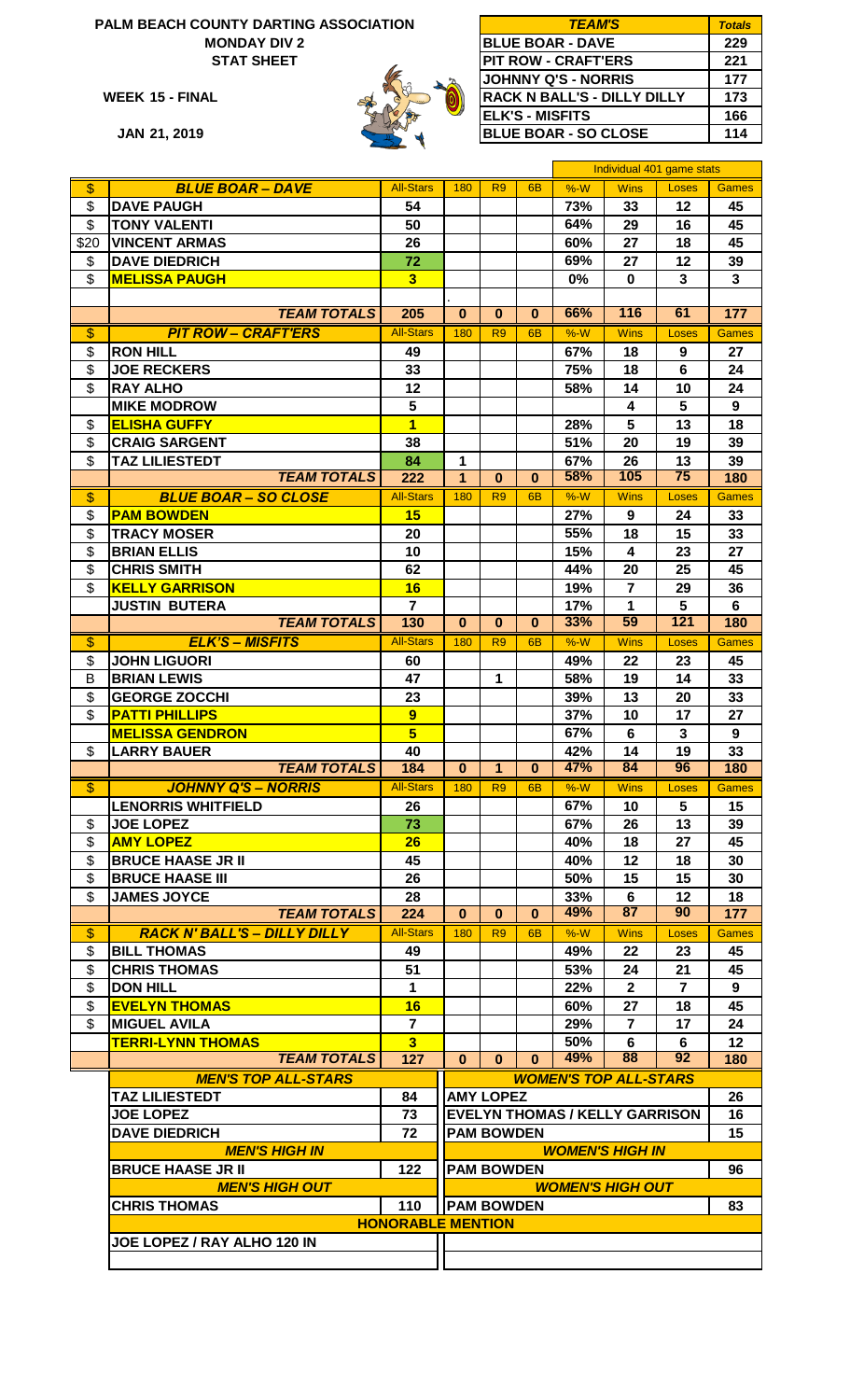# **PALM BEACH COUNTY DARTING ASSOCIATION MONDAY DIV 2**





| ALM BEACH COUNTY DARTING ASSOCIATION | <b>TEAM'S</b> | <b>Totals</b>                      |     |
|--------------------------------------|---------------|------------------------------------|-----|
| <b>MONDAY DIV 2</b>                  |               | <b>BLUE BOAR - DAVE</b>            | 229 |
| <b>STAT SHEET</b>                    |               | <b>PIT ROW - CRAFT'ERS</b>         | 221 |
|                                      |               | <b>JOHNNY Q'S - NORRIS</b>         | 177 |
| WEEK 15 - FINAL                      |               | <b>RACK N BALL'S - DILLY DILLY</b> | 173 |
|                                      |               | IELK'S - MISFITS                   | 166 |
| JAN 21, 2019                         |               | <b>BLUE BOAR - SO CLOSE</b>        | 114 |

|                          |                                          |                               |                   |                   |                | Individual 401 game stats             |                |                         |                         |
|--------------------------|------------------------------------------|-------------------------------|-------------------|-------------------|----------------|---------------------------------------|----------------|-------------------------|-------------------------|
| $\overline{\mathcal{S}}$ | <b>BLUE BOAR - DAVE</b>                  | <b>All-Stars</b>              | 180               | R <sub>9</sub>    | 6 <sub>B</sub> | $%-W$                                 | <b>Wins</b>    | Loses                   | <b>Games</b>            |
| \$                       | <b>DAVE PAUGH</b>                        | 54                            |                   |                   |                | 73%                                   | 33             | 12                      | 45                      |
| \$                       | <b>TONY VALENTI</b>                      | 50                            |                   |                   |                | 64%                                   | 29             | 16                      | 45                      |
|                          |                                          |                               |                   |                   |                |                                       |                |                         |                         |
| \$20                     | <b>VINCENT ARMAS</b>                     | 26                            |                   |                   |                | 60%                                   | 27             | 18                      | 45                      |
| \$                       | <b>DAVE DIEDRICH</b>                     | 72                            |                   |                   |                | 69%                                   | 27             | 12                      | 39                      |
| \$                       | <b>MELISSA PAUGH</b>                     | $\overline{\mathbf{3}}$       |                   |                   |                | 0%                                    | $\mathbf 0$    | $\overline{\mathbf{3}}$ | $\overline{\mathbf{3}}$ |
|                          |                                          |                               |                   |                   |                |                                       |                |                         |                         |
|                          | <b>TEAM TOTALS</b>                       | 205                           | $\bf{0}$          | $\bf{0}$          | $\mathbf{0}$   | 66%                                   | 116            | 61                      | 177                     |
| $\overline{\mathcal{S}}$ | <b>PIT ROW - CRAFT'ERS</b>               | <b>All-Stars</b>              | 180               | R <sub>9</sub>    | 6 <sub>B</sub> | $%-W$                                 | <b>Wins</b>    | Loses                   | Games                   |
| \$                       | <b>RON HILL</b>                          | 49                            |                   |                   |                | 67%                                   | 18             | 9                       | 27                      |
| \$                       | <b>JOE RECKERS</b>                       | 33                            |                   |                   |                | 75%                                   | 18             | $6\phantom{1}$          | 24                      |
|                          |                                          |                               |                   |                   |                |                                       |                |                         |                         |
| \$                       | <b>RAY ALHO</b>                          | 12                            |                   |                   |                | 58%                                   | 14             | 10                      | 24                      |
|                          | <b>MIKE MODROW</b>                       | 5                             |                   |                   |                |                                       | 4              | 5                       | 9                       |
| \$                       | <b>ELISHA GUFFY</b>                      | $\overline{\mathbf{1}}$       |                   |                   |                | 28%                                   | 5              | 13                      | 18                      |
| \$                       | <b>CRAIG SARGENT</b>                     | 38                            |                   |                   |                | 51%                                   | 20             | 19                      | 39                      |
| \$                       | <b>TAZ LILIESTEDT</b>                    | 84                            | $\mathbf{1}$      |                   |                | 67%                                   | 26             | 13                      | 39                      |
|                          | <b>TEAM TOTALS</b>                       | 222                           | $\overline{1}$    | $\bf{0}$          | $\mathbf{0}$   | 58%                                   | 105            | 75                      | 180                     |
| $\overline{\mathcal{S}}$ | <b>BLUE BOAR - SO CLOSE</b>              | <b>All-Stars</b>              | 180               | R <sub>9</sub>    | 6 <sub>B</sub> | $%-W$                                 | <b>Wins</b>    | Loses                   | <b>Games</b>            |
| \$                       | <b>PAM BOWDEN</b>                        | 15                            |                   |                   |                | 27%                                   | 9              | 24                      | 33                      |
| \$                       | <b>TRACY MOSER</b>                       | 20                            |                   |                   |                | 55%                                   | 18             | 15                      | 33                      |
|                          | <b>BRIAN ELLIS</b>                       |                               |                   |                   |                |                                       |                |                         |                         |
| \$                       |                                          | 10                            |                   |                   |                | 15%                                   | 4              | 23                      | 27                      |
| \$                       | <b>CHRIS SMITH</b>                       | 62                            |                   |                   |                | 44%                                   | 20             | 25                      | 45                      |
| \$                       | <b>KELLY GARRISON</b>                    | 16                            |                   |                   |                | 19%                                   | $\overline{7}$ | 29                      | 36                      |
|                          | <b>JUSTIN BUTERA</b>                     | $\overline{\mathbf{z}}$       |                   |                   |                | 17%                                   | $\mathbf{1}$   | 5                       | 6                       |
|                          | <b>TEAM TOTALS</b>                       | 130                           | $\bf{0}$          | $\bf{0}$          | $\bf{0}$       | 33%                                   | 59             | 121                     | 180                     |
| \$                       | <b>ELK'S - MISFITS</b>                   | <b>All-Stars</b>              | 180               | R <sub>9</sub>    | 6 <sub>B</sub> | $%-W$                                 | <b>Wins</b>    | Loses                   | <b>Games</b>            |
| \$                       | <b>JOHN LIGUORI</b>                      | 60                            |                   |                   |                | 49%                                   | 22             | 23                      | 45                      |
| B                        | <b>BRIAN LEWIS</b>                       | 47                            |                   | 1                 |                | 58%                                   | 19             | 14                      | 33                      |
| \$                       | <b>GEORGE ZOCCHI</b>                     | 23                            |                   |                   |                | 39%                                   | 13             | 20                      | 33                      |
| \$                       | <b>PATTI PHILLIPS</b>                    | 9                             |                   |                   |                | 37%                                   | 10             | 17                      | 27                      |
|                          | <b>MELISSA GENDRON</b>                   | $\overline{\mathbf{5}}$       |                   |                   |                | 67%                                   | 6              | $\overline{\mathbf{3}}$ | 9                       |
|                          |                                          |                               |                   |                   |                |                                       |                |                         |                         |
| \$                       | <b>LARRY BAUER</b><br><b>TEAM TOTALS</b> | 40                            |                   |                   |                | 42%<br>47%                            | 14<br>84       | 19<br>96                | 33                      |
|                          |                                          | 184                           | $\mathbf{0}$      | 1                 | $\mathbf{0}$   |                                       |                |                         | 180                     |
| $\overline{\$}$          | <b>JOHNNY Q'S - NORRIS</b>               | All-Stars 180   R9   6B   %-W |                   |                   |                |                                       | Wins           | Loses Games             |                         |
|                          | <b>LENORRIS WHITFIELD</b>                | 26                            |                   |                   |                | 67%                                   | 10             | 5                       | 15                      |
| \$                       | <b>JOE LOPEZ</b>                         | 73                            |                   |                   |                | 67%                                   | 26             | 13                      | 39                      |
| \$                       | <b>AMY LOPEZ</b>                         | 26                            |                   |                   |                | 40%                                   | 18             | 27                      | 45                      |
| \$                       | <b>BRUCE HAASE JR II</b>                 | 45                            |                   |                   |                | 40%                                   | 12             | 18                      | 30                      |
| \$                       | <b>BRUCE HAASE III</b>                   | 26                            |                   |                   |                | 50%                                   | 15             | 15                      | 30                      |
| \$                       | <b>JAMES JOYCE</b>                       | 28                            |                   |                   |                | 33%                                   | 6              | 12                      | 18                      |
|                          | <b>TEAM TOTALS</b>                       | 224                           | $\mathbf{0}$      | $\mathbf{0}$      | $\mathbf{0}$   | 49%                                   | 87             | 90                      | 177                     |
| \$                       | <b>RACK N' BALL'S - DILLY DILLY</b>      | <b>All-Stars</b>              | 180               | R <sub>9</sub>    | 6 <sub>B</sub> | $%-W$                                 | <b>Wins</b>    | Loses                   | <b>Games</b>            |
|                          |                                          |                               |                   |                   |                |                                       |                |                         |                         |
| \$                       | <b>BILL THOMAS</b>                       | 49                            |                   |                   |                | 49%                                   | 22             | 23                      | 45                      |
| \$                       | <b>CHRIS THOMAS</b>                      | 51                            |                   |                   |                | 53%                                   | 24             | 21                      | 45                      |
| \$                       | <b>DON HILL</b>                          | $\mathbf 1$                   |                   |                   |                | 22%                                   | $\mathbf{2}$   | $\overline{7}$          | 9                       |
| \$                       | <b>EVELYN THOMAS</b>                     | 16                            |                   |                   |                | 60%                                   | 27             | 18                      | 45                      |
| \$                       | <b>MIGUEL AVILA</b>                      | $\overline{7}$                |                   |                   |                | 29%                                   | $\overline{7}$ | 17                      | 24                      |
|                          | <b>TERRI-LYNN THOMAS</b>                 | 3                             |                   |                   |                | 50%                                   | 6              | 6                       | 12                      |
|                          | <b>TEAM TOTALS</b>                       | 127                           | $\mathbf{0}$      | $\bf{0}$          | $\mathbf{0}$   | 49%                                   | 88             | 92                      | 180                     |
|                          | <b>MEN'S TOP ALL-STARS</b>               |                               |                   |                   |                | <b>WOMEN'S TOP ALL-STARS</b>          |                |                         |                         |
|                          | <b>TAZ LILIESTEDT</b>                    | 84                            |                   | <b>AMY LOPEZ</b>  |                |                                       |                |                         | 26                      |
|                          | <b>JOE LOPEZ</b>                         | 73                            |                   |                   |                | <b>EVELYN THOMAS / KELLY GARRISON</b> |                |                         | 16                      |
|                          |                                          |                               |                   |                   |                |                                       |                |                         |                         |
|                          | <b>DAVE DIEDRICH</b>                     | 72                            |                   | <b>PAM BOWDEN</b> |                |                                       |                |                         | 15                      |
|                          | <b>MEN'S HIGH IN</b>                     |                               |                   |                   |                | <b>WOMEN'S HIGH IN</b>                |                |                         |                         |
|                          | <b>BRUCE HAASE JR II</b>                 | 122                           | <b>PAM BOWDEN</b> |                   |                |                                       |                |                         | 96                      |
|                          | <b>MEN'S HIGH OUT</b>                    |                               |                   |                   |                | <b>WOMEN'S HIGH OUT</b>               |                |                         |                         |
|                          | <b>CHRIS THOMAS</b>                      | 110                           | <b>PAM BOWDEN</b> |                   |                |                                       |                |                         | 83                      |
|                          |                                          | <b>HONORABLE MENTION</b>      |                   |                   |                |                                       |                |                         |                         |
|                          | JOE LOPEZ / RAY ALHO 120 IN              |                               |                   |                   |                |                                       |                |                         |                         |
|                          |                                          |                               |                   |                   |                |                                       |                |                         |                         |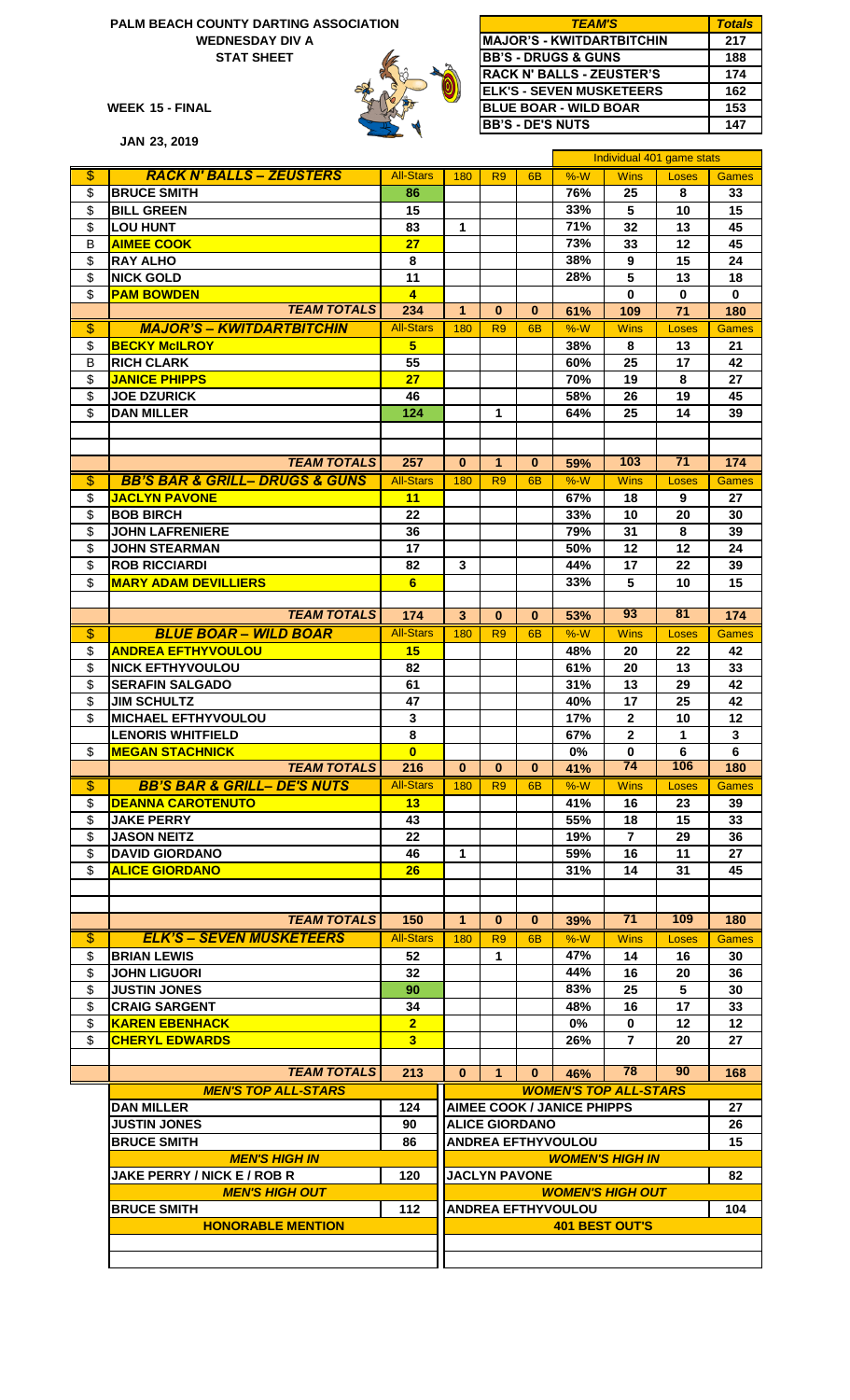#### **WEDNESDAY DIV A PALM BEACH COUNTY DARTING ASSOCIATION STAT SHEET**



| <b>PALM BEACH COUNTY DARTING ASSOCIATION</b> | <b>TEAM'S</b> | Totals                            |     |
|----------------------------------------------|---------------|-----------------------------------|-----|
| <b>WEDNESDAY DIV A</b>                       |               | <b>IMAJOR'S - KWITDARTBITCHIN</b> | 217 |
| <b>STAT SHEET</b>                            |               | <b>BB'S - DRUGS &amp; GUNS</b>    | 188 |
|                                              |               | <b>IRACK N' BALLS - ZEUSTER'S</b> | 174 |
|                                              |               | <b>IELK'S - SEVEN MUSKETEERS</b>  | 162 |
| WEEK 15 - FINAL                              |               | <b>BLUE BOAR - WILD BOAR</b>      | 153 |
|                                              |               | <b>BB'S - DE'S NUTS</b>           | 147 |

|                          | <b>JAN 23, 2019</b>                           |                  |                         |                |                       |                                   |                              |                           |              |
|--------------------------|-----------------------------------------------|------------------|-------------------------|----------------|-----------------------|-----------------------------------|------------------------------|---------------------------|--------------|
|                          |                                               |                  |                         |                |                       |                                   |                              | Individual 401 game stats |              |
| $\overline{\$}$          | <b>RACK N' BALLS - ZEUSTERS</b>               | <b>All-Stars</b> | 180                     | R <sub>9</sub> | 6 <sub>B</sub>        | $%-W$                             | <b>Wins</b>                  | Loses                     | <b>Games</b> |
| \$                       | <b>BRUCE SMITH</b>                            | 86               |                         |                |                       | 76%                               | 25                           | 8                         | 33           |
| \$                       | <b>BILL GREEN</b>                             | 15               |                         |                |                       | 33%                               | 5                            | 10                        | 15           |
| \$                       | <b>LOU HUNT</b>                               | 83               | $\mathbf{1}$            |                |                       | 71%                               | 32                           | 13                        | 45           |
| B                        | <b>AIMEE COOK</b>                             | 27               |                         |                |                       | 73%                               | 33                           | 12                        | 45           |
| \$                       | <b>RAY ALHO</b>                               | 8                |                         |                |                       | 38%                               | 9                            | 15                        | 24           |
| \$                       | <b>NICK GOLD</b>                              | 11               |                         |                |                       | 28%                               | 5                            | 13                        | 18           |
| \$                       | <b>PAM BOWDEN</b>                             | $\overline{4}$   |                         |                |                       |                                   | 0                            | $\mathbf 0$               | $\mathbf 0$  |
|                          | <b>TEAM TOTALS</b>                            | 234              | $\mathbf{1}$            | $\bf{0}$       | $\bf{0}$              | 61%                               | 109                          | 71                        | 180          |
| $\overline{\$}$          | <b>MAJOR'S - KWITDARTBITCHIN</b>              | <b>All-Stars</b> | 180                     | R <sub>9</sub> | 6 <sub>B</sub>        | $%-W$                             | <b>Wins</b>                  | Loses                     | <b>Games</b> |
| \$                       | <b>BECKY McILROY</b>                          | 5 <sub>5</sub>   |                         |                |                       | 38%                               | 8                            | 13                        | 21           |
| B                        | <b>RICH CLARK</b>                             | 55               |                         |                |                       | 60%                               | 25                           | 17                        | 42           |
| \$                       | <b>JANICE PHIPPS</b>                          | 27               |                         |                |                       | 70%                               | 19                           | 8                         | 27           |
| \$                       | <b>JOE DZURICK</b>                            | 46               |                         |                |                       | 58%                               | 26                           | 19                        | 45           |
| $\mathsf{\$}$            | <b>DAN MILLER</b>                             | 124              |                         | 1              |                       | 64%                               | 25                           | 14                        | 39           |
|                          |                                               |                  |                         |                |                       |                                   |                              |                           |              |
|                          |                                               |                  |                         |                |                       |                                   |                              |                           |              |
|                          | <b>TEAM TOTALS</b>                            | 257              | $\bf{0}$                | 1              | $\bf{0}$              | 59%                               | 103                          | 71                        | 174          |
| $\overline{\$}$          | <b>BB'S BAR &amp; GRILL- DRUGS &amp; GUNS</b> | <b>All-Stars</b> | 180                     | R <sub>9</sub> | 6 <sub>B</sub>        | $%-W$                             | <b>Wins</b>                  | Loses                     | <b>Games</b> |
| \$                       | <b>JACLYN PAVONE</b>                          | 11               |                         |                |                       | 67%                               | 18                           | 9                         | 27           |
| \$                       | <b>BOB BIRCH</b>                              | 22               |                         |                |                       | 33%                               | 10                           | 20                        | 30           |
| \$                       | <b>JOHN LAFRENIERE</b>                        | 36               |                         |                |                       | 79%                               | 31                           | 8                         | 39           |
| \$                       | <b>JOHN STEARMAN</b>                          | 17               |                         |                |                       | 50%                               | 12                           | 12                        | 24           |
| \$                       | <b>ROB RICCIARDI</b>                          | 82               | 3                       |                |                       | 44%                               | 17                           | 22                        | 39           |
| \$                       | <b>MARY ADAM DEVILLIERS</b>                   | 6                |                         |                |                       | 33%                               | 5                            | 10                        | 15           |
|                          |                                               |                  |                         |                |                       |                                   |                              |                           |              |
|                          | <b>TEAM TOTALS</b>                            | 174              | $\overline{\mathbf{3}}$ | $\bf{0}$       | $\bf{0}$              | 53%                               | 93                           | 81                        | 174          |
| $\overline{\$}$          | <b>BLUE BOAR - WILD BOAR</b>                  | <b>All-Stars</b> | 180                     | R <sub>9</sub> | 6 <sub>B</sub>        | $%-W$                             | <b>Wins</b>                  | Loses                     | <b>Games</b> |
| \$                       | <b>ANDREA EFTHYVOULOU</b>                     | 15               |                         |                |                       | 48%                               | 20                           | 22                        | 42           |
| \$                       | <b>NICK EFTHYVOULOU</b>                       | 82               |                         |                |                       | 61%                               | 20                           | 13                        | 33           |
| \$                       | <b>SERAFIN SALGADO</b>                        | 61               |                         |                |                       | 31%                               | 13                           | 29                        | 42           |
| \$                       | <b>JIM SCHULTZ</b>                            | 47               |                         |                |                       | 40%                               | 17                           | 25                        | 42           |
| \$                       | <b>MICHAEL EFTHYVOULOU</b>                    | 3                |                         |                |                       | 17%                               | $\mathbf{2}$                 | 10                        | 12           |
|                          | <b>LENORIS WHITFIELD</b>                      | 8                |                         |                |                       | 67%                               | $\mathbf{2}$                 | $\blacktriangleleft$      | $\mathbf{3}$ |
| \$                       | <b>MEGAN STACHNICK</b>                        | $\overline{0}$   |                         |                |                       | 0%                                | $\mathbf 0$                  | 6                         | 6            |
|                          | <b>TEAM TOTALS</b>                            | 216              | $\bf{0}$                | $\bf{0}$       | $\bf{0}$              | 41%                               | 74                           | 106                       | 180          |
| \$                       | <b>BB'S BAR &amp; GRILL- DE'S NUTS</b>        | <b>All-Stars</b> | 180                     | R <sub>9</sub> | 6B                    | $%-W$                             | <b>Wins</b>                  | Loses                     | <b>Games</b> |
| \$                       | <b>DEANNA CAROTENUTO</b>                      | 13               |                         |                |                       | 41%                               | 16                           | 23                        | 39           |
| \$                       | <b>JAKE PERRY</b>                             | 43               |                         |                |                       | 55%                               | 18                           | 15                        | 33           |
| $\mathsf{\$}$            | <b>JASON NEITZ</b>                            | 22               |                         |                |                       | 19%                               | $\overline{7}$               | 29                        | 36           |
| $\mathsf{\$}$            | <b>DAVID GIORDANO</b>                         | 46               | $\mathbf 1$             |                |                       | 59%                               | 16                           | 11                        | 27           |
| $\mathsf{\$}$            | <b>ALICE GIORDANO</b>                         | 26               |                         |                |                       | 31%                               | 14                           | 31                        | 45           |
|                          |                                               |                  |                         |                |                       |                                   |                              |                           |              |
|                          |                                               |                  |                         |                |                       |                                   |                              |                           |              |
|                          | <b>TEAM TOTALS</b>                            | 150              | $\mathbf{1}$            | $\bf{0}$       | $\bf{0}$              | 39%                               | 71                           | 109                       | 180          |
| $\overline{\mathcal{E}}$ | <b>ELK'S - SEVEN MUSKETEERS</b>               | <b>All-Stars</b> | 180                     | R <sub>9</sub> | 6B                    | $%-W$                             | <b>Wins</b>                  | Loses                     | <b>Games</b> |
| \$                       | <b>BRIAN LEWIS</b>                            | 52               |                         | 1.             |                       | 47%                               | 14                           | 16                        | 30           |
| \$                       | <b>JOHN LIGUORI</b>                           | 32               |                         |                |                       | 44%                               | 16                           | 20                        | 36           |
| \$                       | <b>JUSTIN JONES</b>                           | 90               |                         |                |                       | 83%                               | 25                           | 5                         | 30           |
| \$                       | <b>CRAIG SARGENT</b>                          | 34               |                         |                |                       | 48%                               | 16                           | 17                        | 33           |
| \$                       | <b>KAREN EBENHACK</b>                         | $\overline{2}$   |                         |                |                       | $0\%$                             | 0                            | 12                        | 12           |
| \$                       | <b>CHERYL EDWARDS</b>                         | 3                |                         |                |                       | 26%                               | $\mathbf{7}$                 | 20                        | 27           |
|                          |                                               |                  |                         |                |                       |                                   |                              |                           |              |
|                          | <b>TEAM TOTALS</b>                            | 213              | $\bf{0}$                | 1              | $\bf{0}$              | 46%                               | 78                           | 90                        | 168          |
|                          | <b>MEN'S TOP ALL-STARS</b>                    |                  |                         |                |                       |                                   | <b>WOMEN'S TOP ALL-STARS</b> |                           |              |
|                          | <b>DAN MILLER</b>                             | 124              |                         |                |                       | <b>AIMEE COOK / JANICE PHIPPS</b> |                              |                           | 27           |
|                          | <b>JUSTIN JONES</b>                           | 90               |                         |                | <b>ALICE GIORDANO</b> |                                   |                              |                           | 26           |
|                          | <b>BRUCE SMITH</b>                            | 86               |                         |                |                       | <b>ANDREA EFTHYVOULOU</b>         |                              |                           | 15           |
|                          | <b>MEN'S HIGH IN</b>                          |                  |                         |                |                       |                                   | <b>WOMEN'S HIGH IN</b>       |                           |              |
|                          | <b>JAKE PERRY / NICK E / ROB R</b>            | 120              |                         |                | <b>JACLYN PAVONE</b>  |                                   |                              |                           | 82           |
|                          | <b>MEN'S HIGH OUT</b>                         |                  |                         |                |                       |                                   | <b>WOMEN'S HIGH OUT</b>      |                           |              |
|                          | <b>BRUCE SMITH</b>                            | 112              |                         |                |                       | <b>ANDREA EFTHYVOULOU</b>         |                              |                           | 104          |
|                          | <b>HONORABLE MENTION</b>                      |                  |                         |                |                       | <b>401 BEST OUT'S</b>             |                              |                           |              |
|                          |                                               |                  |                         |                |                       |                                   |                              |                           |              |
|                          |                                               |                  |                         |                |                       |                                   |                              |                           |              |